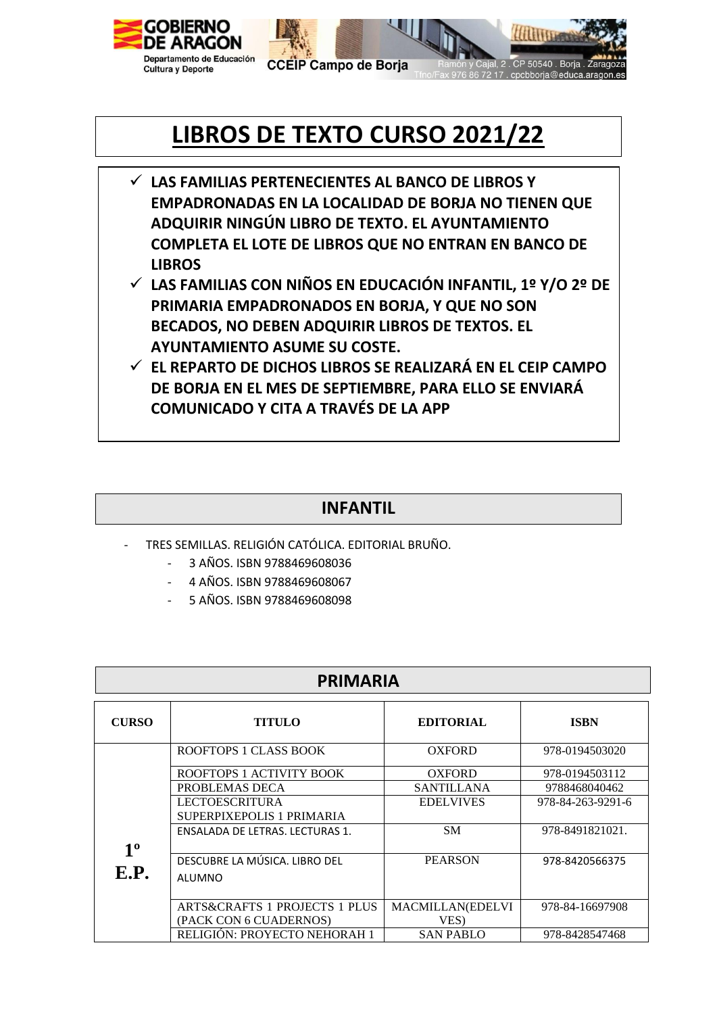



50540 Boris

**CCEIP Campo de Borja** 

## **LIBROS DE TEXTO CURSO 2021/22**

- **LAS FAMILIAS PERTENECIENTES AL BANCO DE LIBROS Y EMPADRONADAS EN LA LOCALIDAD DE BORJA NO TIENEN QUE ADQUIRIR NINGÚN LIBRO DE TEXTO. EL AYUNTAMIENTO COMPLETA EL LOTE DE LIBROS QUE NO ENTRAN EN BANCO DE LIBROS**
- **LAS FAMILIAS CON NIÑOS EN EDUCACIÓN INFANTIL, 1º Y/O 2º DE PRIMARIA EMPADRONADOS EN BORJA, Y QUE NO SON BECADOS, NO DEBEN ADQUIRIR LIBROS DE TEXTOS. EL AYUNTAMIENTO ASUME SU COSTE.**
- **EL REPARTO DE DICHOS LIBROS SE REALIZARÁ EN EL CEIP CAMPO DE BORJA EN EL MES DE SEPTIEMBRE, PARA ELLO SE ENVIARÁ COMUNICADO Y CITA A TRAVÉS DE LA APP**

## **INFANTIL**

- TRES SEMILLAS. RELIGIÓN CATÓLICA. EDITORIAL BRUÑO.
	- 3 AÑOS. ISBN 9788469608036
	- 4 AÑOS. ISBN 9788469608067
	- 5 AÑOS. ISBN 9788469608098

| <b>PRIMARIA</b> |                                          |                         |                   |  |
|-----------------|------------------------------------------|-------------------------|-------------------|--|
| <b>CURSO</b>    | <b>TITULO</b>                            | <b>EDITORIAL</b>        | <b>ISBN</b>       |  |
|                 | <b>ROOFTOPS 1 CLASS BOOK</b>             | <b>OXFORD</b>           | 978-0194503020    |  |
|                 | ROOFTOPS 1 ACTIVITY BOOK                 | <b>OXFORD</b>           | 978-0194503112    |  |
|                 | PROBLEMAS DECA                           | SANTILLANA              | 9788468040462     |  |
|                 | <b>LECTOESCRITURA</b>                    | <b>EDELVIVES</b>        | 978-84-263-9291-6 |  |
|                 | SUPERPIXEPOLIS 1 PRIMARIA                |                         |                   |  |
|                 | ENSALADA DE LETRAS. LECTURAS 1.          | <b>SM</b>               | 978-8491821021.   |  |
| $1^{\rm o}$     |                                          |                         |                   |  |
|                 | DESCUBRE LA MÚSICA. LIBRO DEL            | <b>PEARSON</b>          | 978-8420566375    |  |
| E.P.            | ALUMNO                                   |                         |                   |  |
|                 |                                          |                         |                   |  |
|                 | <b>ARTS&amp;CRAFTS 1 PROJECTS 1 PLUS</b> | <b>MACMILLAN(EDELVI</b> | 978-84-16697908   |  |
|                 | (PACK CON 6 CUADERNOS)                   | VES)                    |                   |  |
|                 | RELIGIÓN: PROYECTO NEHORAH 1             | <b>SAN PABLO</b>        | 978-8428547468    |  |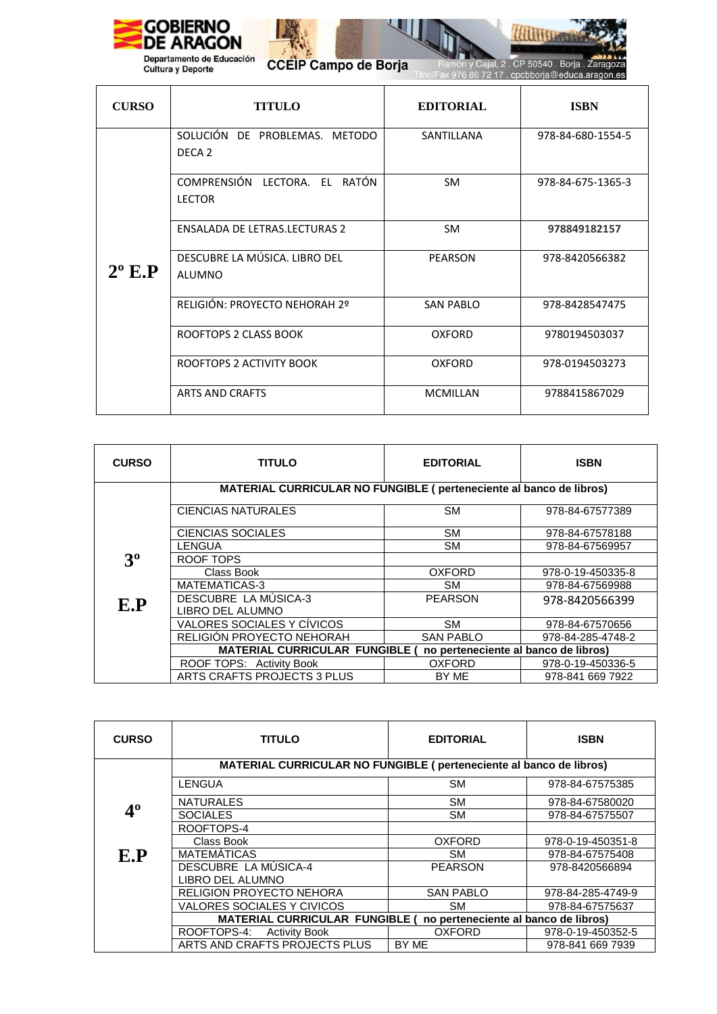



 $\overline{\mathcal{L}}$ 

CCEIP Campo de Borja

món y Cajal, 2 . CP 50540 . Borja . Zaragoza<br>976 86 72 17 . cpcbborja@educa.aragon.es

| <b>CURSO</b>    | <b>TITULO</b>                                      | <b>EDITORIAL</b> | <b>ISBN</b>       |
|-----------------|----------------------------------------------------|------------------|-------------------|
| $2^{\circ}$ E.P | SOLUCIÓN DE PROBLEMAS. METODO<br>DECA <sub>2</sub> | SANTILLANA       | 978-84-680-1554-5 |
|                 | COMPRENSIÓN LECTORA. EL RATÓN<br><b>LECTOR</b>     | SM.              | 978-84-675-1365-3 |
|                 | <b>ENSALADA DE LETRAS.LECTURAS 2</b>               | <b>SM</b>        | 978849182157      |
|                 | DESCUBRE LA MÚSICA. LIBRO DEL<br>ALUMNO            | <b>PEARSON</b>   | 978-8420566382    |
|                 | RELIGIÓN: PROYECTO NEHORAH 2º                      | <b>SAN PABLO</b> | 978-8428547475    |
|                 | ROOFTOPS 2 CLASS BOOK                              | <b>OXFORD</b>    | 9780194503037     |
|                 | ROOFTOPS 2 ACTIVITY BOOK                           | <b>OXFORD</b>    | 978-0194503273    |
|                 | <b>ARTS AND CRAFTS</b>                             | <b>MCMILLAN</b>  | 9788415867029     |

| <b>CURSO</b>   | TITULO                                                                        | <b>EDITORIAL</b> | <b>ISBN</b>       |
|----------------|-------------------------------------------------------------------------------|------------------|-------------------|
|                | MATERIAL CURRICULAR NO FUNGIBLE (perteneciente al banco de libros)            |                  |                   |
|                | <b>CIENCIAS NATURALES</b>                                                     | SM.              | 978-84-67577389   |
|                | CIENCIAS SOCIALES                                                             | <b>SM</b>        | 978-84-67578188   |
|                | LENGUA                                                                        | SM.              | 978-84-67569957   |
| 3 <sup>0</sup> | ROOF TOPS                                                                     |                  |                   |
|                | Class Book                                                                    | <b>OXFORD</b>    | 978-0-19-450335-8 |
| E.P            | <b>MATEMATICAS-3</b>                                                          | <b>SM</b>        | 978-84-67569988   |
|                | <b>DESCUBRE LA MUSICA-3</b>                                                   | <b>PEARSON</b>   | 978-8420566399    |
|                | LIBRO DEL ALUMNO                                                              |                  |                   |
|                | VALORES SOCIALES Y CÍVICOS                                                    | <b>SM</b>        | 978-84-67570656   |
|                | RELIGIÓN PROYECTO NEHORAH                                                     | <b>SAN PABLO</b> | 978-84-285-4748-2 |
|                | <b>MATERIAL CURRICULAR FUNGIBLE (</b><br>no perteneciente al banco de libros) |                  |                   |
|                | ROOF TOPS: Activity Book                                                      | <b>OXFORD</b>    | 978-0-19-450336-5 |
|                | ARTS CRAFTS PROJECTS 3 PLUS                                                   | BY ME            | 978-841 669 7922  |

| <b>CURSO</b> | <b>TITULO</b>                                                                 | <b>EDITORIAL</b> | <b>ISBN</b>       |
|--------------|-------------------------------------------------------------------------------|------------------|-------------------|
|              | MATERIAL CURRICULAR NO FUNGIBLE (perteneciente al banco de libros)            |                  |                   |
|              | LENGUA                                                                        | <b>SM</b>        | 978-84-67575385   |
|              | <b>NATURALES</b>                                                              | <b>SM</b>        | 978-84-67580020   |
| 4º           | <b>SOCIALES</b>                                                               | <b>SM</b>        | 978-84-67575507   |
|              | ROOFTOPS-4                                                                    |                  |                   |
|              | Class Book                                                                    | <b>OXFORD</b>    | 978-0-19-450351-8 |
| E.P          | <b>MATEMÁTICAS</b>                                                            | <b>SM</b>        | 978-84-67575408   |
|              | DESCUBRE LA MÚSICA-4                                                          | <b>PEARSON</b>   | 978-8420566894    |
|              | LIBRO DEL ALUMNO                                                              |                  |                   |
|              | <b>RELIGION PROYECTO NEHORA</b>                                               | <b>SAN PABLO</b> | 978-84-285-4749-9 |
|              | VALORES SOCIALES Y CIVICOS                                                    | <b>SM</b>        | 978-84-67575637   |
|              | <b>MATERIAL CURRICULAR FUNGIBLE (</b><br>no perteneciente al banco de libros) |                  |                   |
|              | ROOFTOPS-4:<br><b>Activity Book</b>                                           | <b>OXFORD</b>    | 978-0-19-450352-5 |
|              | ARTS AND CRAFTS PROJECTS PLUS                                                 | BY ME            | 978-841 669 7939  |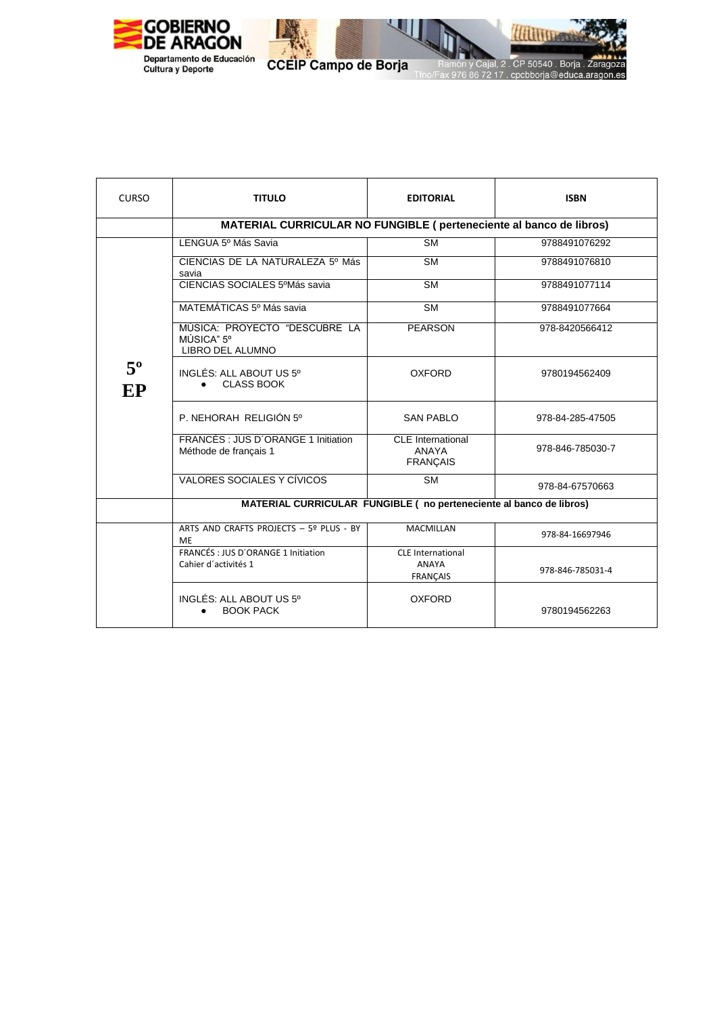

CCEIP Campo de Borja

 $\overline{\phantom{a}}$ 

. CP 50540 . Borja . Zarago

86 72 17 . cpcbborja@educa.aragon.es

)za

| <b>CURSO</b>      | <b>TITULO</b>                                                      | <b>EDITORIAL</b>                                            | <b>ISBN</b>      |  |
|-------------------|--------------------------------------------------------------------|-------------------------------------------------------------|------------------|--|
|                   | MATERIAL CURRICULAR NO FUNGIBLE (perteneciente al banco de libros) |                                                             |                  |  |
|                   | LENGUA 5º Más Savia                                                | <b>SM</b>                                                   | 9788491076292    |  |
|                   | CIENCIAS DE LA NATURALEZA 5º Más<br>savia                          | <b>SM</b>                                                   | 9788491076810    |  |
|                   | CIENCIAS SOCIALES 5ºMás savia                                      | <b>SM</b>                                                   | 9788491077114    |  |
|                   | MATEMÁTICAS 5º Más savia                                           | $\overline{\text{SM}}$                                      | 9788491077664    |  |
|                   | MÚSICA: PROYECTO "DESCUBRE LA<br>MÚSICA" 5°<br>LIBRO DEL ALUMNO    | <b>PEARSON</b>                                              | 978-8420566412   |  |
| $5^{\circ}$<br>EP | INGLÉS: ALL ABOUT US 5°<br><b>CLASS BOOK</b>                       | <b>OXFORD</b>                                               | 9780194562409    |  |
|                   | P. NEHORAH RELIGIÓN 5°                                             | <b>SAN PABLO</b>                                            | 978-84-285-47505 |  |
|                   | FRANCÉS : JUS D'ORANGE 1 Initiation<br>Méthode de français 1       | <b>CLE</b> International<br>ANAYA<br><b>FRANÇAIS</b>        | 978-846-785030-7 |  |
|                   | VALORES SOCIALES Y CÍVICOS                                         | <b>SM</b>                                                   | 978-84-67570663  |  |
|                   | MATERIAL CURRICULAR FUNGIBLE (no perteneciente al banco de libros) |                                                             |                  |  |
|                   | ARTS AND CRAFTS PROJECTS - 5º PLUS - BY<br>MF                      | <b>MACMILLAN</b>                                            | 978-84-16697946  |  |
|                   | FRANCÉS : JUS D'ORANGE 1 Initiation<br>Cahier d'activités 1        | <b>CLE</b> International<br><b>ANAYA</b><br><b>FRANÇAIS</b> | 978-846-785031-4 |  |
|                   | INGLÉS: ALL ABOUT US 5°<br><b>BOOK PACK</b>                        | <b>OXFORD</b>                                               | 9780194562263    |  |